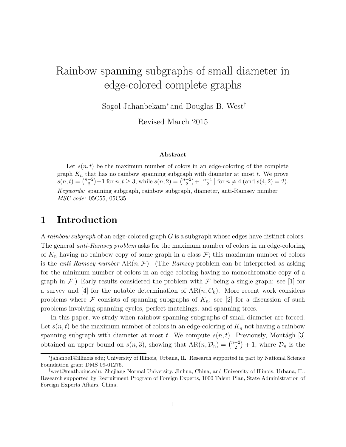# Rainbow spanning subgraphs of small diameter in edge-colored complete graphs

Sogol Jahanbekam<sup>∗</sup> and Douglas B. West†

Revised March 2015

#### Abstract

Let  $s(n, t)$  be the maximum number of colors in an edge-coloring of the complete graph  $K_n$  that has no rainbow spanning subgraph with diameter at most  $t$ . We prove  $s(n,t) = \binom{n-2}{2}$  $\binom{-2}{2}+1$  for  $n, t \geq 3$ , while  $s(n, 2) = \binom{n-2}{2}$  $\binom{-2}{2} + \frac{n-1}{2}$  $\frac{-1}{2}$  for  $n \neq 4$  (and  $s(4, 2) = 2$ ). Keywords: spanning subgraph, rainbow subgraph, diameter, anti-Ramsey number MSC code: 05C55, 05C35

#### 1 Introduction

A rainbow subgraph of an edge-colored graph  $G$  is a subgraph whose edges have distinct colors. The general *anti-Ramsey problem* asks for the maximum number of colors in an edge-coloring of  $K_n$  having no rainbow copy of some graph in a class  $\mathcal{F}$ ; this maximum number of colors is the *anti-Ramsey number*  $AR(n, \mathcal{F})$ . (The *Ramsey* problem can be interpreted as asking for the minimum number of colors in an edge-coloring having no monochromatic copy of a graph in  $\mathcal{F}$ .) Early results considered the problem with  $\mathcal F$  being a single graph: see [1] for a survey and [4] for the notable determination of  $AR(n, C_k)$ . More recent work considers problems where F consists of spanning subgraphs of  $K_n$ ; see [2] for a discussion of such problems involving spanning cycles, perfect matchings, and spanning trees.

In this paper, we study when rainbow spanning subgraphs of small diameter are forced. Let  $s(n, t)$  be the maximum number of colors in an edge-coloring of  $K_n$  not having a rainbow spanning subgraph with diameter at most t. We compute  $s(n, t)$ . Previously, Montágh [3] obtained an upper bound on  $s(n, 3)$ , showing that  $AR(n, \mathcal{D}_n) = \binom{n-2}{2}$  $\binom{-2}{2}+1$ , where  $\mathcal{D}_n$  is the

<sup>∗</sup> jahanbe1@illinois.edu; University of Illinois, Urbana, IL. Research supported in part by National Science Foundation grant DMS 09-01276.

<sup>†</sup>west@math.uiuc.edu; Zhejiang Normal University, Jinhua, China, and University of Illinois, Urbana, IL. Research supported by Recruitment Program of Foreign Experts, 1000 Talent Plan, State Administration of Foreign Experts Affairs, China.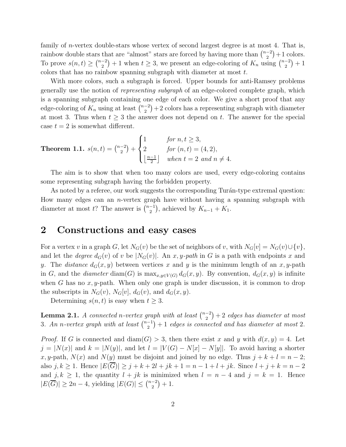family of *n*-vertex double-stars whose vertex of second largest degree is at most 4. That is, rainbow double stars that are "almost" stars are forced by having more than  $\binom{n-2}{2}$  $\binom{-2}{2}+1$  colors. To prove  $s(n,t) \geq {n-2 \choose 2}$  $\binom{-2}{2}+1$  when  $t \geq 3$ , we present an edge-coloring of  $K_n$  using  $\binom{n-2}{2}$  $\binom{-2}{2} + 1$ colors that has no rainbow spanning subgraph with diameter at most t.

With more colors, such a subgraph is forced. Upper bounds for anti-Ramsey problems generally use the notion of representing subgraph of an edge-colored complete graph, which is a spanning subgraph containing one edge of each color. We give a short proof that any edge-coloring of  $K_n$  using at least  $\binom{n-2}{2}$  $\binom{-2}{2}+2$  colors has a representing subgraph with diameter at most 3. Thus when  $t \geq 3$  the answer does not depend on t. The answer for the special case  $t = 2$  is somewhat different.

**Theorem 1.1.** 
$$
s(n,t) = {n-2 \choose 2} + \begin{cases} 1 & \text{for } n, t \ge 3, \\ 2 & \text{for } (n,t) = (4,2), \\ \lfloor \frac{n-1}{2} \rfloor & \text{when } t = 2 \text{ and } n \ne 4. \end{cases}
$$

The aim is to show that when too many colors are used, every edge-coloring contains some representing subgraph having the forbidden property.

As noted by a referee, our work suggests the corresponding Turán-type extremal question: How many edges can an *n*-vertex graph have without having a spanning subgraph with diameter at most t? The answer is  $\binom{n-1}{2}$  $\binom{-1}{2}$ , achieved by  $K_{n-1} + K_1$ .

#### 2 Constructions and easy cases

For a vertex v in a graph G, let  $N_G(v)$  be the set of neighbors of v, with  $N_G[v] = N_G(v) \cup \{v\},\$ and let the *degree*  $d_G(v)$  of v be  $|N_G(v)|$ . An x, y-path in G is a path with endpoints x and y. The distance  $d_G(x, y)$  between vertices x and y is the minimum length of an x, y-path in G, and the diameter diam(G) is  $\max_{x,y\in V(G)} d_G(x,y)$ . By convention,  $d_G(x,y)$  is infinite when G has no  $x, y$ -path. When only one graph is under discussion, it is common to drop the subscripts in  $N_G(v)$ ,  $N_G[v]$ ,  $d_G(v)$ , and  $d_G(x, y)$ .

Determining  $s(n, t)$  is easy when  $t \geq 3$ .

**Lemma 2.1.** A connected n-vertex graph with at least  $\binom{n-2}{2}$  $\binom{-2}{2}+2$  edges has diameter at most 3. An n-vertex graph with at least  $\binom{n-1}{2}$  $\binom{-1}{2}+1$  edges is connected and has diameter at most 2.

*Proof.* If G is connected and  $\text{diam}(G) > 3$ , then there exist x and y with  $d(x, y) = 4$ . Let  $j = |N(x)|$  and  $k = |N(y)|$ , and let  $l = |V(G) - N(x) - N(y)|$ . To avoid having a shorter x, y-path,  $N(x)$  and  $N(y)$  must be disjoint and joined by no edge. Thus  $j + k + l = n - 2$ ; also  $j, k \ge 1$ . Hence  $|E(G)| \ge j + k + 2l + jk + 1 = n - 1 + l + jk$ . Since  $l + j + k = n - 2$ and  $j, k \ge 1$ , the quantity  $l + jk$  is minimized when  $l = n - 4$  and  $j = k = 1$ . Hence  $|E(\overline{G})| \geq 2n-4$ , yielding  $|E(G)| \leq {n-2 \choose 2}$  $\binom{-2}{2} + 1.$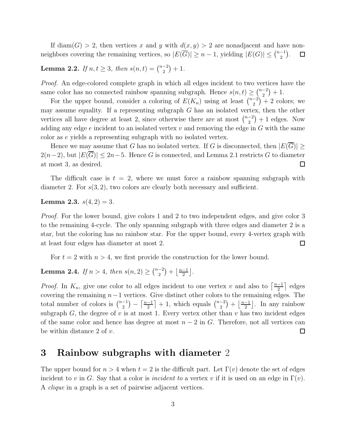If diam(G) > 2, then vertices x and y with  $d(x, y) > 2$  are nonadjacent and have nonneighbors covering the remaining vertices, so  $|E(\overline{G})| \geq n-1$ , yielding  $|E(G)| \leq {n-1 \choose 2}$  $\binom{-1}{2}$ .  $\Box$ 

**Lemma 2.2.** If  $n, t \geq 3$ , then  $s(n,t) = \binom{n-2}{2}$  $\binom{-2}{2}+1.$ 

Proof. An edge-colored complete graph in which all edges incident to two vertices have the same color has no connected rainbow spanning subgraph. Hence  $s(n, t) \geq \binom{n-2}{2}$  $\binom{-2}{2}+1.$ 

For the upper bound, consider a coloring of  $E(K_n)$  using at least  $\binom{n-2}{2}$  $\binom{-2}{2}$  + 2 colors; we may assume equality. If a representing subgraph  $G$  has an isolated vertex, then the other vertices all have degree at least 2, since otherwise there are at most  $\binom{n-2}{2}$  $\binom{-2}{2}+1$  edges. Now adding any edge  $e$  incident to an isolated vertex  $v$  and removing the edge in  $G$  with the same color as e yields a representing subgraph with no isolated vertex.

Hence we may assume that G has no isolated vertex. If G is disconnected, then  $|E(G)| \ge$  $2(n-2)$ , but  $|E(\overline{G})| \leq 2n-5$ . Hence G is connected, and Lemma 2.1 restricts G to diameter at most 3, as desired.  $\Box$ 

The difficult case is  $t = 2$ , where we must force a rainbow spanning subgraph with diameter 2. For  $s(3, 2)$ , two colors are clearly both necessary and sufficient.

**Lemma 2.3.**  $s(4, 2) = 3$ .

Proof. For the lower bound, give colors 1 and 2 to two independent edges, and give color 3 to the remaining 4-cycle. The only spanning subgraph with three edges and diameter 2 is a star, but the coloring has no rainbow star. For the upper bound, every 4-vertex graph with at least four edges has diameter at most 2.  $\Box$ 

For  $t = 2$  with  $n > 4$ , we first provide the construction for the lower bound.

**Lemma 2.4.** If  $n > 4$ , then  $s(n, 2) \geq {n-2 \choose 2}$  $\binom{-2}{2} + \frac{n-1}{2}$  $\frac{-1}{2}$ .

*Proof.* In  $K_n$ , give one color to all edges incident to one vertex v and also to  $\left\lceil \frac{n-1}{2} \right\rceil$  $\frac{-1}{2}$  edges covering the remaining  $n-1$  vertices. Give distinct other colors to the remaining edges. The total number of colors is  $\binom{n-1}{2}$  $\left\lfloor \frac{-1}{2} \right\rfloor + 1$ , which equals  $\binom{n-2}{2}$  $\binom{-1}{2}$  -  $\left\lceil \frac{n-1}{2} \right\rceil$  $\binom{-2}{2} + \frac{n-1}{2}$  $\frac{-1}{2}$ . In any rainbow subgraph  $G$ , the degree of v is at most 1. Every vertex other than v has two incident edges of the same color and hence has degree at most  $n-2$  in G. Therefore, not all vertices can be within distance 2 of  $v$ .  $\Box$ 

### 3 Rainbow subgraphs with diameter 2

The upper bound for  $n > 4$  when  $t = 2$  is the difficult part. Let  $\Gamma(v)$  denote the set of edges incident to v in G. Say that a color is *incident to* a vertex v if it is used on an edge in  $\Gamma(v)$ . A clique in a graph is a set of pairwise adjacent vertices.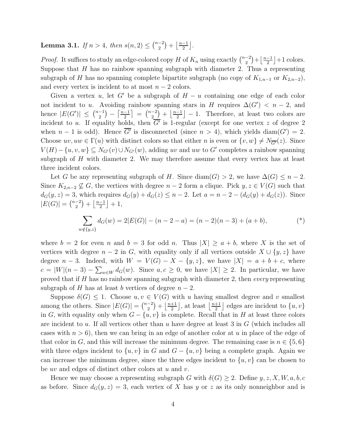**Lemma 3.1.** If  $n > 4$ , then  $s(n, 2) \leq {n-2 \choose 2}$  $\binom{-2}{2} + \frac{n-1}{2}$  $\frac{-1}{2}$ .

*Proof.* It suffices to study an edge-colored copy H of  $K_n$  using exactly  $\binom{n-2}{2}$  $\binom{-2}{2} + \frac{n-1}{2}$  $\frac{-1}{2}$  +1 colors. Suppose that  $H$  has no rainbow spanning subgraph with diameter 2. Thus a representing subgraph of H has no spanning complete bipartite subgraph (no copy of  $K_{1,n-1}$  or  $K_{2,n-2}$ ), and every vertex is incident to at most  $n-2$  colors.

Given a vertex u, let G' be a subgraph of  $H - u$  containing one edge of each color not incident to u. Avoiding rainbow spanning stars in H requires  $\Delta(G') < n-2$ , and hence  $|E(G')| \leq {n-1 \choose 2}$  $\binom{-1}{2} - \left\lceil \frac{n-1}{2} \right\rceil$  $\left[\frac{-1}{2}\right] = \left[\frac{n-2}{2}\right]$  $\frac{(-2)}{2} + \frac{n-1}{2}$  $\frac{-1}{2}$  - 1. Therefore, at least two colors are incident to u. If equality holds, then  $G'$  is 1-regular (except for one vertex z of degree 2 when  $n-1$  is odd). Hence  $\overline{G'}$  is disconnected (since  $n > 4$ ), which yields diam( $G'$ ) = 2. Choose  $uv, uw \in \Gamma(u)$  with distinct colors so that either n is even or  $\{v, w\} \neq N_{\overline{G'}}(z)$ . Since  $V(H) - \{u, v, w\} \subseteq N_{G'}(v) \cup N_{G'}(w)$ , adding uv and uw to G' completes a rainbow spanning subgraph of  $H$  with diameter 2. We may therefore assume that every vertex has at least three incident colors.

Let G be any representing subgraph of H. Since diam(G) > 2, we have  $\Delta(G) \leq n-2$ . Since  $K_{2,n-2} \nsubseteq G$ , the vertices with degree  $n-2$  form a clique. Pick  $y, z \in V(G)$  such that  $d_G(y, z) = 3$ , which requires  $d_G(y) + d_G(z) \leq n - 2$ . Let  $a = n - 2 - (d_G(y) + d_G(z))$ . Since  $|E(G)| = \binom{n-2}{2}$  $\binom{-2}{2} + \frac{n-1}{2}$  $\frac{-1}{2}$  + 1,

$$
\sum_{w \notin \{y,z\}} d_G(w) = 2|E(G)| - (n-2-a) = (n-2)(n-3) + (a+b),
$$
\n(\*)

where  $b = 2$  for even n and  $b = 3$  for odd n. Thus  $|X| \ge a + b$ , where X is the set of vertices with degree  $n-2$  in G, with equality only if all vertices outside  $X \cup \{y, z\}$  have degree  $n-3$ . Indeed, with  $W = V(G) - X - \{y, z\}$ , we have  $|X| = a + b + c$ , where  $c = |W|(n-3) - \sum_{w \in W} d_G(w)$ . Since  $a, c \ge 0$ , we have  $|X| \ge 2$ . In particular, we have proved that if  $H$  has no rainbow spanning subgraph with diameter 2, then *every* representing subgraph of H has at least b vertices of degree  $n-2$ .

Suppose  $\delta(G) \leq 1$ . Choose  $u, v \in V(G)$  with u having smallest degree and v smallest among the others. Since  $|E(G)| = \binom{n-2}{2}$  $\binom{-2}{2} + \frac{n+1}{2}$  $\frac{+1}{2}$ , at least  $\frac{n+1}{2}$  $\frac{+1}{2}$  edges are incident to  $\{u, v\}$ in G, with equality only when  $G - \{u, v\}$  is complete. Recall that in H at least three colors are incident to u. If all vertices other than u have degree at least 3 in  $G$  (which includes all cases with  $n > 6$ , then we can bring in an edge of another color at u in place of the edge of that color in G, and this will increase the minimum degree. The remaining case is  $n \in \{5,6\}$ with three edges incident to  $\{u, v\}$  in G and  $G - \{u, v\}$  being a complete graph. Again we can increase the minimum degree, since the three edges incident to  $\{u, v\}$  can be chosen to be  $uv$  and edges of distinct other colors at  $u$  and  $v$ .

Hence we may choose a representing subgraph G with  $\delta(G) \geq 2$ . Define  $y, z, X, W, a, b, c$ as before. Since  $d_G(y, z) = 3$ , each vertex of X has y or z as its only nonneighbor and is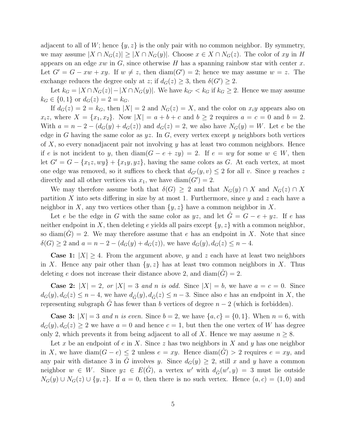adjacent to all of W; hence  $\{y, z\}$  is the only pair with no common neighbor. By symmetry, we may assume  $|X \cap N_G(z)| \geq |X \cap N_G(y)|$ . Choose  $x \in X \cap N_G(z)$ . The color of xy in H appears on an edge  $xw$  in  $G$ , since otherwise H has a spanning rainbow star with center  $x$ . Let  $G' = G - xw + xy$ . If  $w \neq z$ , then  $\text{diam}(G') = 2$ ; hence we may assume  $w = z$ . The exchange reduces the degree only at z; if  $d_G(z) \geq 3$ , then  $\delta(G') \geq 2$ .

Let  $k_G = |X \cap N_G(z)| - |X \cap N_G(y)|$ . We have  $k_{G'} < k_G$  if  $k_G \geq 2$ . Hence we may assume  $k_G \in \{0, 1\}$  or  $d_G(z) = 2 = k_G$ .

If  $d_G(z) = 2 = k_G$ , then  $|X| = 2$  and  $N_G(z) = X$ , and the color on  $x_i y$  appears also on  $x_i z$ , where  $X = \{x_1, x_2\}$ . Now  $|X| = a + b + c$  and  $b \ge 2$  requires  $a = c = 0$  and  $b = 2$ . With  $a = n - 2 - (d_G(y) + d_G(z))$  and  $d_G(z) = 2$ , we also have  $N_G(y) = W$ . Let e be the edge in G having the same color as  $yz$ . In G, every vertex except y neighbors both vertices of X, so every nonadjacent pair not involving  $y$  has at least two common neighbors. Hence if e is not incident to y, then  $\text{diam}(G - e + zy) = 2$ . If  $e = wy$  for some  $w \in W$ , then let  $G' = G - \{x_1z, wy\} + \{x_1y, yz\}$ , having the same colors as G. At each vertex, at most one edge was removed, so it suffices to check that  $d_{G'}(y, v) \leq 2$  for all v. Since y reaches z directly and all other vertices via  $x_1$ , we have diam( $G'$ ) = 2.

We may therefore assume both that  $\delta(G) \geq 2$  and that  $N_G(y) \cap X$  and  $N_G(z) \cap X$ partition X into sets differing in size by at most 1. Furthermore, since  $y$  and  $z$  each have a neighbor in X, any two vertices other than  $\{y, z\}$  have a common neighbor in X.

Let e be the edge in G with the same color as yz, and let  $G = G - e + yz$ . If e has neither endpoint in X, then deleting e yields all pairs except  $\{y, z\}$  with a common neighbor, so diam(G) = 2. We may therefore assume that e has an endpoint in X. Note that since  $\delta(G) \ge 2$  and  $a = n - 2 - (d_G(y) + d_G(z))$ , we have  $d_G(y), d_G(z) \le n - 4$ .

**Case 1:**  $|X| \geq 4$ . From the argument above, y and z each have at least two neighbors in X. Hence any pair other than  $\{y, z\}$  has at least two common neighbors in X. Thus deleting e does not increase their distance above 2, and  $\text{diam}(\tilde{G}) = 2$ .

**Case 2:**  $|X| = 2$ , or  $|X| = 3$  and n is odd. Since  $|X| = b$ , we have  $a = c = 0$ . Since  $d_G(y), d_G(z) \leq n-4$ , we have  $d_{\hat{G}}(y), d_{\hat{G}}(z) \leq n-3$ . Since also e has an endpoint in X, the representing subgraph  $\tilde{G}$  has fewer than b vertices of degree  $n-2$  (which is forbidden).

**Case 3:**  $|X| = 3$  and n is even. Since  $b = 2$ , we have  $\{a, c\} = \{0, 1\}$ . When  $n = 6$ , with  $d_G(y), d_G(z) \geq 2$  we have  $a = 0$  and hence  $c = 1$ , but then the one vertex of W has degree only 2, which prevents it from being adjacent to all of X. Hence we may assume  $n \geq 8$ .

Let x be an endpoint of e in X. Since z has two neighbors in X and y has one neighbor in X, we have  $\text{diam}(G - e) \leq 2$  unless  $e = xy$ . Hence  $\text{diam}(\hat{G}) > 2$  requires  $e = xy$ , and any pair with distance 3 in  $\hat{G}$  involves y. Since  $d_G(y) \geq 2$ , still x and y have a common neighbor  $w \in W$ . Since  $yz \in E(\hat{G})$ , a vertex w' with  $d_{\hat{G}}(w', y) = 3$  must lie outside  $N_G(y) \cup N_G(z) \cup \{y, z\}.$  If  $a = 0$ , then there is no such vertex. Hence  $(a, c) = (1, 0)$  and